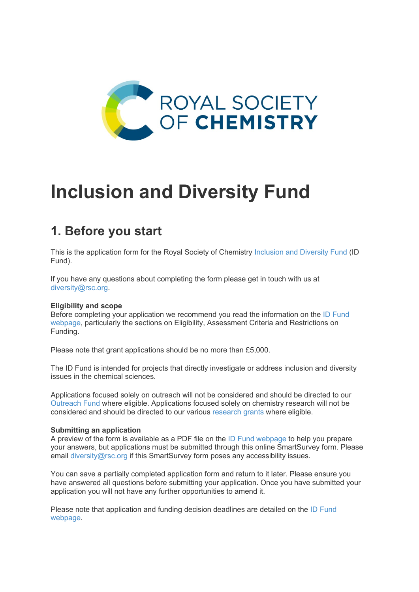

# **Inclusion and Diversity Fund**

## **1. Before you start**

This is the application form for the Royal Society of Chemistry [Inclusion and Diversity Fund \(](https://www.rsc.org/prizes-funding/funding/inclusion-diversity-fund/)ID Fund).

If you have any questions about completing the form please get in touch with us at [diversity@rsc.org.](mailto:diversity@rsc.org?subject=ID%20Fund%20application%20form)

#### **Eligibility and scope**

Before completing your application we recommend you read the information on the [ID Fund](https://www.rsc.org/prizes-funding/funding/inclusion-diversity-fund/)  [webpage,](https://www.rsc.org/prizes-funding/funding/inclusion-diversity-fund/) particularly the sections on Eligibility, Assessment Criteria and Restrictions on Funding.

Please note that grant applications should be no more than £5,000.

The ID Fund is intended for projects that directly investigate or address inclusion and diversity issues in the chemical sciences.

Applications focused solely on outreach will not be considered and should be directed to our [Outreach Fund](https://www.rsc.org/prizes-funding/funding/outreach-fund/) where eligible. Applications focused solely on chemistry research will not be considered and should be directed to our various [research grants](https://www.rsc.org/prizes-funding/funding/#research-funding) where eligible.

#### **Submitting an application**

A preview of the form is available as a PDF file on the [ID Fund webpage](https://www.rsc.org/prizes-funding/funding/inclusion-diversity-fund/) to help you prepare your answers, but applications must be submitted through this online SmartSurvey form. Please email [diversity@rsc.org](mailto:diversity@rsc.org?subject=ID%20Fund%20application%20form) if this SmartSurvey form poses any accessibility issues.

You can save a partially completed application form and return to it later. Please ensure you have answered all questions before submitting your application. Once you have submitted your application you will not have any further opportunities to amend it.

Please note that application and funding decision deadlines are detailed on the [ID Fund](https://www.rsc.org/prizes-funding/funding/inclusion-diversity-fund/)  [webpage.](https://www.rsc.org/prizes-funding/funding/inclusion-diversity-fund/)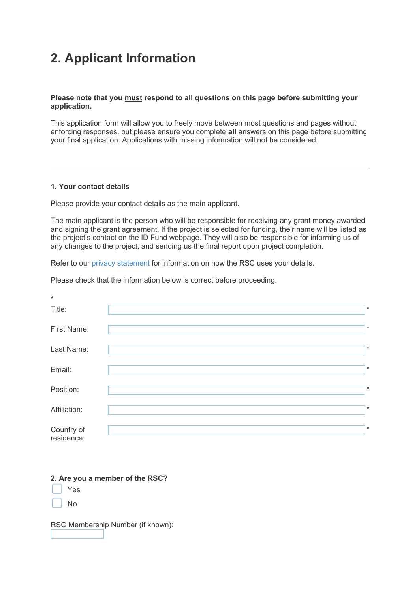## **2. Applicant Information**

#### **Please note that you must respond to all questions on this page before submitting your application.**

This application form will allow you to freely move between most questions and pages without enforcing responses, but please ensure you complete **all** answers on this page before submitting your final application. Applications with missing information will not be considered.

#### **1. Your contact details**

Please provide your contact details as the main applicant.

The main applicant is the person who will be responsible for receiving any grant money awarded and signing the grant agreement. If the project is selected for funding, their name will be listed as the project's contact on the ID Fund webpage. They will also be responsible for informing us of any changes to the project, and sending us the final report upon project completion.

Refer to our [privacy statement f](https://www.rsc.org/help-legal/legal/privacy/)or information on how the RSC uses your details.

Please check that the information below is correct before proceeding.

| $\ast$                   |         |
|--------------------------|---------|
| Title:                   | $\star$ |
| First Name:              | $\star$ |
| Last Name:               | $\star$ |
| Email:                   | $\star$ |
| Position:                | $\star$ |
| Affiliation:             | $\ast$  |
| Country of<br>residence: | $\star$ |

#### **2. Are you a member of the RSC?**

Yes

No

RSC Membership Number (if known):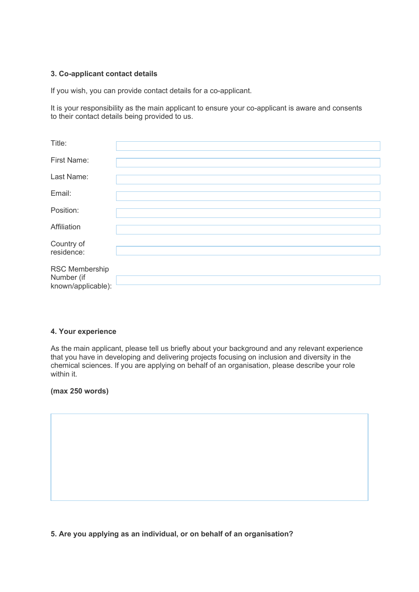#### **3. Co-applicant contact details**

If you wish, you can provide contact details for a co-applicant.

It is your responsibility as the main applicant to ensure your co-applicant is aware and consents to their contact details being provided to us.

| Title:                                             |  |
|----------------------------------------------------|--|
| First Name:                                        |  |
| Last Name:                                         |  |
| Email:                                             |  |
| Position:                                          |  |
| Affiliation                                        |  |
| Country of<br>residence:                           |  |
| RSC Membership<br>Number (if<br>known/applicable): |  |

#### **4. Your experience**

As the main applicant, please tell us briefly about your background and any relevant experience that you have in developing and delivering projects focusing on inclusion and diversity in the chemical sciences. If you are applying on behalf of an organisation, please describe your role within it.

#### **(max 250 words)**

**5. Are you applying as an individual, or on behalf of an organisation?**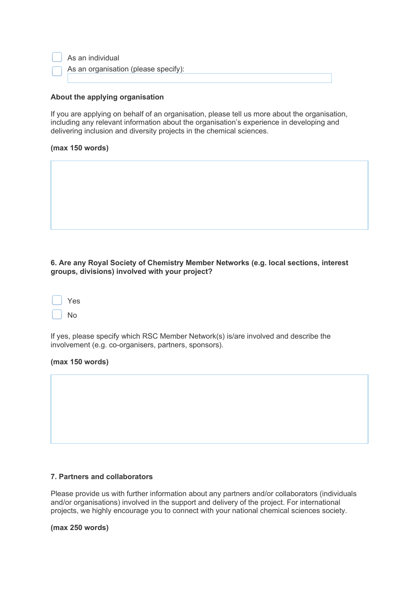#### **About the applying organisation**

If you are applying on behalf of an organisation, please tell us more about the organisation, including any relevant information about the organisation's experience in developing and delivering inclusion and diversity projects in the chemical sciences.

#### **(max 150 words)**

#### **6. Are any Royal Society of Chemistry Member Networks (e.g. local sections, interest groups, divisions) involved with your project?**

| Yes |
|-----|
| No  |

If yes, please specify which RSC Member Network(s) is/are involved and describe the involvement (e.g. co-organisers, partners, sponsors).

#### **(max 150 words)**

#### **7. Partners and collaborators**

Please provide us with further information about any partners and/or collaborators (individuals and/or organisations) involved in the support and delivery of the project. For international projects, we highly encourage you to connect with your national chemical sciences society.

**(max 250 words)**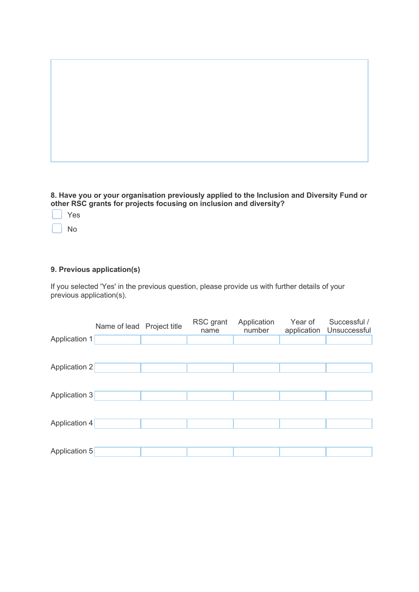**8. Have you or your organisation previously applied to the Inclusion and Diversity Fund or other RSC grants for projects focusing on inclusion and diversity?**

Yes

No

### **9. Previous application(s)**

If you selected 'Yes' in the previous question, please provide us with further details of your previous application(s).

|               | Name of lead Project title | RSC grant<br>name | Application<br>number | Year of<br>application | Successful /<br>Unsuccessful |
|---------------|----------------------------|-------------------|-----------------------|------------------------|------------------------------|
| Application 1 |                            |                   |                       |                        |                              |
|               |                            |                   |                       |                        |                              |
| Application 2 |                            |                   |                       |                        |                              |
| Application 3 |                            |                   |                       |                        |                              |
|               |                            |                   |                       |                        |                              |
| Application 4 |                            |                   |                       |                        |                              |
|               |                            |                   |                       |                        |                              |
| Application 5 |                            |                   |                       |                        |                              |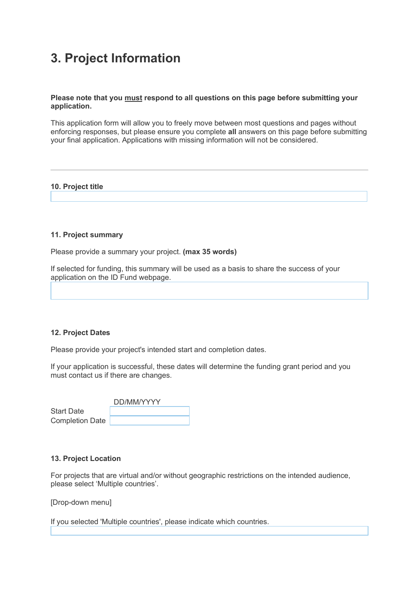### **3. Project Information**

#### **Please note that you must respond to all questions on this page before submitting your application.**

This application form will allow you to freely move between most questions and pages without enforcing responses, but please ensure you complete **all** answers on this page before submitting your final application. Applications with missing information will not be considered.

#### **10. Project title**

#### **11. Project summary**

Please provide a summary your project. **(max 35 words)**

If selected for funding, this summary will be used as a basis to share the success of your application on the ID Fund webpage.

#### **12. Project Dates**

Please provide your project's intended start and completion dates.

If your application is successful, these dates will determine the funding grant period and you must contact us if there are changes.

|                        | DD/MM/YYYY |
|------------------------|------------|
| <b>Start Date</b>      |            |
| <b>Completion Date</b> |            |

#### **13. Project Location**

For projects that are virtual and/or without geographic restrictions on the intended audience, please select 'Multiple countries'.

[Drop-down menu]

If you selected 'Multiple countries', please indicate which countries.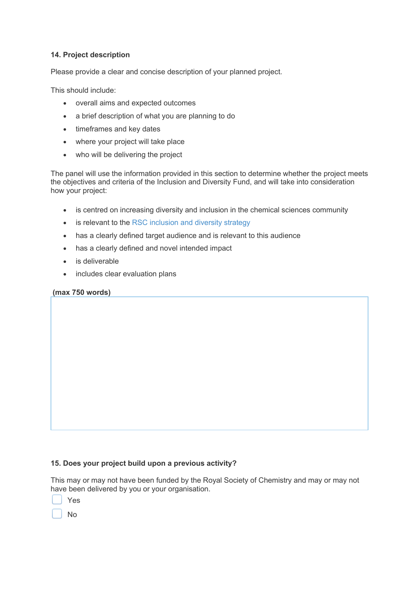#### **14. Project description**

Please provide a clear and concise description of your planned project.

This should include:

- overall aims and expected outcomes
- a brief description of what you are planning to do
- timeframes and key dates
- where your project will take place
- who will be delivering the project

The panel will use the information provided in this section to determine whether the project meets the objectives and criteria of the Inclusion and Diversity Fund, and will take into consideration how your project:

- is centred on increasing diversity and inclusion in the chemical sciences community
- is relevant to the [RSC inclusion and diversity strategy](https://www.rsc.org/new-perspectives/talent/inclusion-and-diversity/strategy/)
- has a clearly defined target audience and is relevant to this audience
- has a clearly defined and novel intended impact
- is deliverable
- includes clear evaluation plans

#### **(max 750 words)**

#### **15. Does your project build upon a previous activity?**

This may or may not have been funded by the Royal Society of Chemistry and may or may not have been delivered by you or your organisation.

Yes

No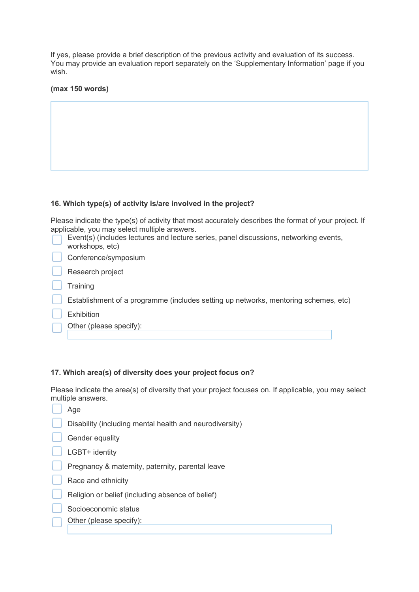If yes, please provide a brief description of the previous activity and evaluation of its success. You may provide an evaluation report separately on the 'Supplementary Information' page if you wish.

#### **(max 150 words)**

#### **16. Which type(s) of activity is/are involved in the project?**

Please indicate the type(s) of activity that most accurately describes the format of your project. If applicable, you may select multiple answers.

| Event(s) (includes lectures and lecture series, panel discussions, networking events,<br>workshops, etc) |
|----------------------------------------------------------------------------------------------------------|
| Conference/symposium                                                                                     |
| Research project                                                                                         |
| Training                                                                                                 |
| Establishment of a programme (includes setting up networks, mentoring schemes, etc)                      |
| <b>Exhibition</b>                                                                                        |
| Other (please specify):                                                                                  |

#### **17. Which area(s) of diversity does your project focus on?**

Please indicate the area(s) of diversity that your project focuses on. If applicable, you may select multiple answers.

| Age                                                     |
|---------------------------------------------------------|
| Disability (including mental health and neurodiversity) |
| Gender equality                                         |
| LGBT+ identity                                          |
| Pregnancy & maternity, paternity, parental leave        |
| Race and ethnicity                                      |
| Religion or belief (including absence of belief)        |
| Socioeconomic status                                    |
| Other (please specify):                                 |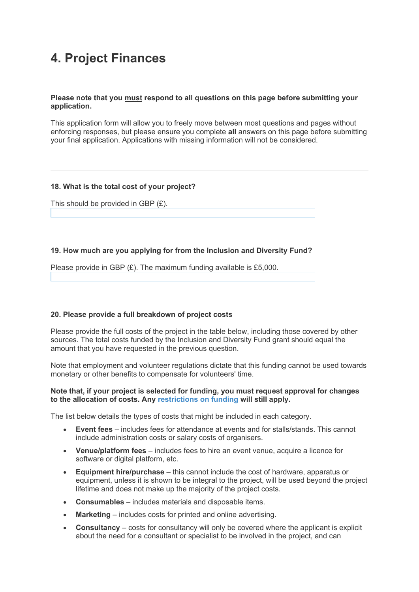### **4. Project Finances**

#### **Please note that you must respond to all questions on this page before submitting your application.**

This application form will allow you to freely move between most questions and pages without enforcing responses, but please ensure you complete **all** answers on this page before submitting your final application. Applications with missing information will not be considered.

#### **18. What is the total cost of your project?**

This should be provided in GBP (£).

#### **19. How much are you applying for from the Inclusion and Diversity Fund?**

Please provide in GBP (£). The maximum funding available is £5,000.

#### **20. Please provide a full breakdown of project costs**

Please provide the full costs of the project in the table below, including those covered by other sources. The total costs funded by the Inclusion and Diversity Fund grant should equal the amount that you have requested in the previous question.

Note that employment and volunteer regulations dictate that this funding cannot be used towards monetary or other benefits to compensate for volunteers' time.

#### **Note that, if your project is selected for funding, you must request approval for changes to the allocation of costs. Any [restrictions on funding](https://www.rsc.org/prizes-funding/funding/inclusion-diversity-fund/) will still apply.**

The list below details the types of costs that might be included in each category.

- **Event fees** includes fees for attendance at events and for stalls/stands. This cannot include administration costs or salary costs of organisers.
- **Venue/platform fees** includes fees to hire an event venue, acquire a licence for software or digital platform, etc.
- **Equipment hire/purchase** this cannot include the cost of hardware, apparatus or equipment, unless it is shown to be integral to the project, will be used beyond the project lifetime and does not make up the majority of the project costs.
- **Consumables** includes materials and disposable items.
- **Marketing** includes costs for printed and online advertising.
- **Consultancy** costs for consultancy will only be covered where the applicant is explicit about the need for a consultant or specialist to be involved in the project, and can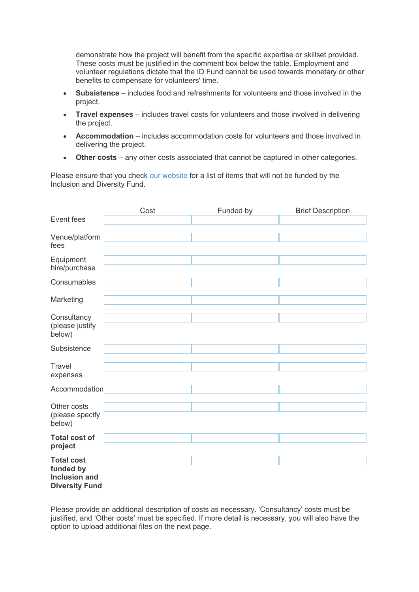demonstrate how the project will benefit from the specific expertise or skillset provided. These costs must be justified in the comment box below the table. Employment and volunteer regulations dictate that the ID Fund cannot be used towards monetary or other benefits to compensate for volunteers' time.

- **Subsistence** includes food and refreshments for volunteers and those involved in the project.
- **Travel expenses** includes travel costs for volunteers and those involved in delivering the project.
- **Accommodation** includes accommodation costs for volunteers and those involved in delivering the project.
- **Other costs** any other costs associated that cannot be captured in other categories.

Please ensure that you check [our website](http://www.rsc.org/awards-funding/funding/inclusion-diversity-fund/) for a list of items that will not be funded by the Inclusion and Diversity Fund.

|                                                                                 | Cost | Funded by | <b>Brief Description</b> |
|---------------------------------------------------------------------------------|------|-----------|--------------------------|
| Event fees                                                                      |      |           |                          |
| Venue/platform<br>fees                                                          |      |           |                          |
| Equipment<br>hire/purchase                                                      |      |           |                          |
| Consumables                                                                     |      |           |                          |
| Marketing                                                                       |      |           |                          |
| Consultancy<br>(please justify<br>below)                                        |      |           |                          |
| Subsistence                                                                     |      |           |                          |
| <b>Travel</b><br>expenses                                                       |      |           |                          |
| Accommodation                                                                   |      |           |                          |
| Other costs<br>(please specify<br>below)                                        |      |           |                          |
| <b>Total cost of</b><br>project                                                 |      |           |                          |
| <b>Total cost</b><br>funded by<br><b>Inclusion and</b><br><b>Diversity Fund</b> |      |           |                          |

Please provide an additional description of costs as necessary. 'Consultancy' costs must be justified, and 'Other costs' must be specified. If more detail is necessary, you will also have the option to upload additional files on the next page.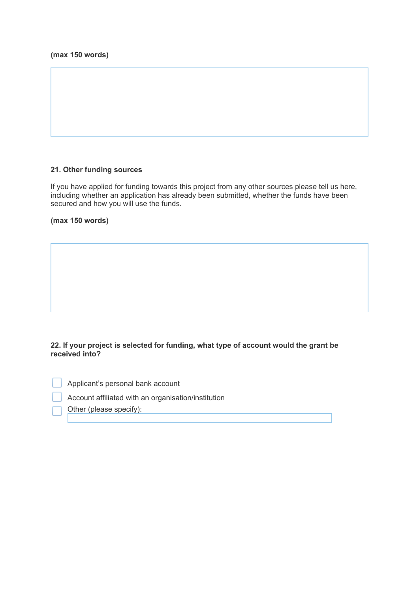#### **21. Other funding sources**

If you have applied for funding towards this project from any other sources please tell us here, including whether an application has already been submitted, whether the funds have been secured and how you will use the funds.

**(max 150 words)**

#### **22. If your project is selected for funding, what type of account would the grant be received into?**

Applicant's personal bank account

Account affiliated with an organisation/institution

Other (please specify):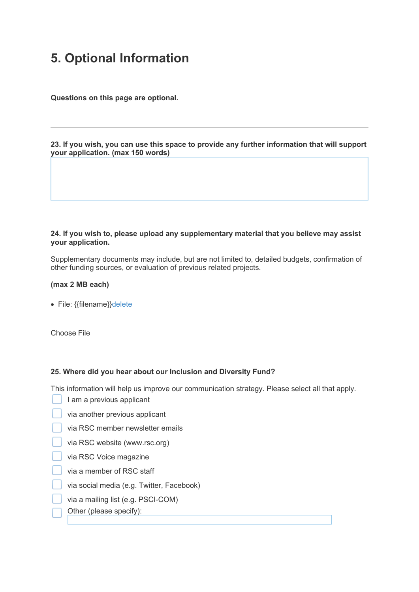### **5. Optional Information**

**Questions on this page are optional.**

**23. If you wish, you can use this space to provide any further information that will support your application. (max 150 words)**

#### **24. If you wish to, please upload any supplementary material that you believe may assist your application.**

Supplementary documents may include, but are not limited to, detailed budgets, confirmation of other funding sources, or evaluation of previous related projects.

#### **(max 2 MB each)**

• File: {{filename}[}delete](javascript:void(0);)

Choose File

#### **25. Where did you hear about our Inclusion and Diversity Fund?**

This information will help us improve our communication strategy. Please select all that apply.

- I am a previous applicant
- via another previous applicant
- via RSC member newsletter emails
- via RSC website (www.rsc.org)
- via RSC Voice magazine
- via a member of RSC staff
- via social media (e.g. Twitter, Facebook)
- via a mailing list (e.g. PSCI-COM)
- Other (please specify):